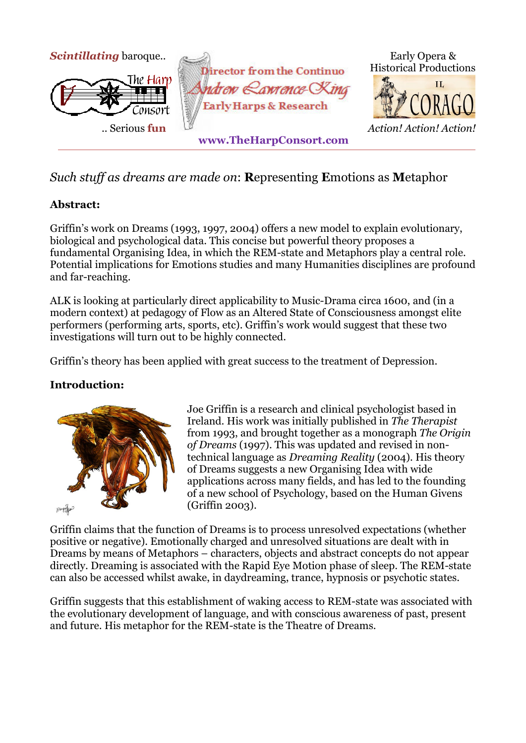

# *Such stuff as dreams are made on*: **R**epresenting **E**motions as **M**etaphor

## **Abstract:**

Griffin's work on Dreams (1993, 1997, 2004) offers a new model to explain evolutionary, biological and psychological data. This concise but powerful theory proposes a fundamental Organising Idea, in which the REM-state and Metaphors play a central role. Potential implications for Emotions studies and many Humanities disciplines are profound and far-reaching.

ALK is looking at particularly direct applicability to Music-Drama circa 1600, and (in a modern context) at pedagogy of Flow as an Altered State of Consciousness amongst elite performers (performing arts, sports, etc). Griffin's work would suggest that these two investigations will turn out to be highly connected.

Griffin's theory has been applied with great success to the treatment of Depression.

## **Introduction:**



Joe Griffin is a research and clinical psychologist based in Ireland. His work was initially published in *The Therapist*  from 1993, and brought together as a monograph *The Origin of Dreams* (1997). This was updated and revised in nontechnical language as *Dreaming Reality* (2004). His theory of Dreams suggests a new Organising Idea with wide applications across many fields, and has led to the founding of a new school of Psychology, based on the Human Givens (Griffin 2003).

Griffin claims that the function of Dreams is to process unresolved expectations (whether positive or negative). Emotionally charged and unresolved situations are dealt with in Dreams by means of Metaphors – characters, objects and abstract concepts do not appear directly. Dreaming is associated with the Rapid Eye Motion phase of sleep. The REM-state can also be accessed whilst awake, in daydreaming, trance, hypnosis or psychotic states.

Griffin suggests that this establishment of waking access to REM-state was associated with the evolutionary development of language, and with conscious awareness of past, present and future. His metaphor for the REM-state is the Theatre of Dreams.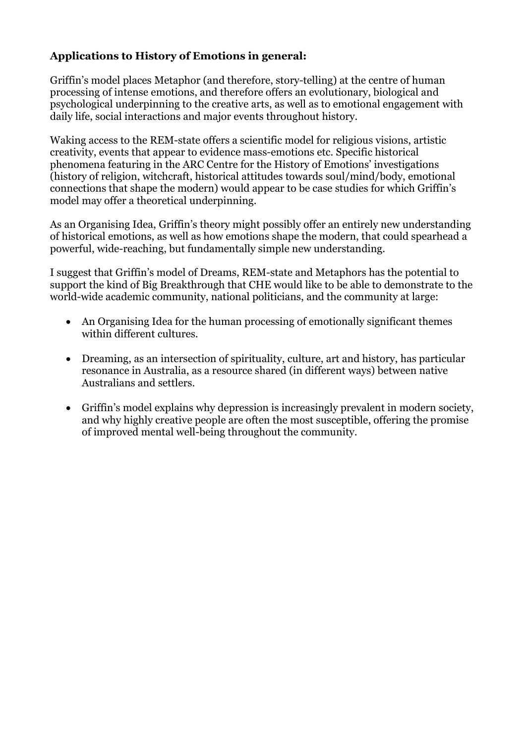## **Applications to History of Emotions in general:**

Griffin's model places Metaphor (and therefore, story-telling) at the centre of human processing of intense emotions, and therefore offers an evolutionary, biological and psychological underpinning to the creative arts, as well as to emotional engagement with daily life, social interactions and major events throughout history.

Waking access to the REM-state offers a scientific model for religious visions, artistic creativity, events that appear to evidence mass-emotions etc. Specific historical phenomena featuring in the ARC Centre for the History of Emotions' investigations (history of religion, witchcraft, historical attitudes towards soul/mind/body, emotional connections that shape the modern) would appear to be case studies for which Griffin's model may offer a theoretical underpinning.

As an Organising Idea, Griffin's theory might possibly offer an entirely new understanding of historical emotions, as well as how emotions shape the modern, that could spearhead a powerful, wide-reaching, but fundamentally simple new understanding.

I suggest that Griffin's model of Dreams, REM-state and Metaphors has the potential to support the kind of Big Breakthrough that CHE would like to be able to demonstrate to the world-wide academic community, national politicians, and the community at large:

- An Organising Idea for the human processing of emotionally significant themes within different cultures.
- Dreaming, as an intersection of spirituality, culture, art and history, has particular resonance in Australia, as a resource shared (in different ways) between native Australians and settlers.
- Griffin's model explains why depression is increasingly prevalent in modern society, and why highly creative people are often the most susceptible, offering the promise of improved mental well-being throughout the community.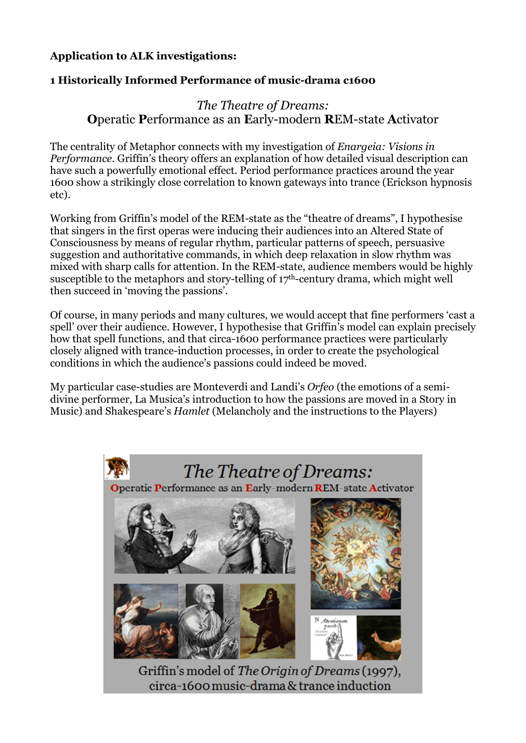## **Application to ALK investigations:**

#### **1 Historically Informed Performance of music-drama c1600**

## *The Theatre of Dreams:*  **O**peratic **P**erformance as an **E**arly-modern **R**EM-state **A**ctivator

The centrality of Metaphor connects with my investigation of *Enargeia: Visions in Performance*. Griffin's theory offers an explanation of how detailed visual description can have such a powerfully emotional effect. Period performance practices around the year 1600 show a strikingly close correlation to known gateways into trance (Erickson hypnosis etc).

Working from Griffin's model of the REM-state as the "theatre of dreams", I hypothesise that singers in the first operas were inducing their audiences into an Altered State of Consciousness by means of regular rhythm, particular patterns of speech, persuasive suggestion and authoritative commands, in which deep relaxation in slow rhythm was mixed with sharp calls for attention. In the REM-state, audience members would be highly susceptible to the metaphors and story-telling of 17th-century drama, which might well then succeed in 'moving the passions'.

Of course, in many periods and many cultures, we would accept that fine performers 'cast a spell' over their audience. However, I hypothesise that Griffin's model can explain precisely how that spell functions, and that circa-1600 performance practices were particularly closely aligned with trance-induction processes, in order to create the psychological conditions in which the audience's passions could indeed be moved.

My particular case-studies are Monteverdi and Landi's *Orfeo* (the emotions of a semidivine performer, La Musica's introduction to how the passions are moved in a Story in Music) and Shakespeare's *Hamlet* (Melancholy and the instructions to the Players)

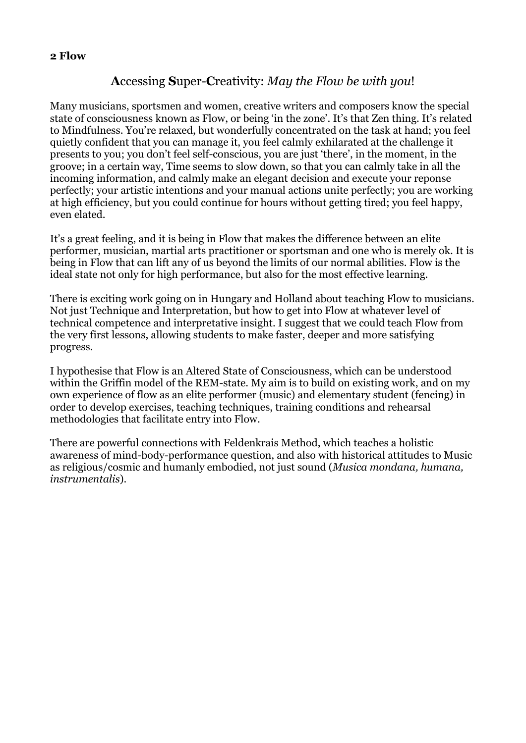#### **2 Flow**

## **A**ccessing **S**uper-**C**reativity: *May the Flow be with you*!

Many musicians, sportsmen and women, creative writers and composers know the special state of consciousness known as Flow, or being 'in the zone'. It's that Zen thing. It's related to Mindfulness. You're relaxed, but wonderfully concentrated on the task at hand; you feel quietly confident that you can manage it, you feel calmly exhilarated at the challenge it presents to you; you don't feel self-conscious, you are just 'there', in the moment, in the groove; in a certain way, Time seems to slow down, so that you can calmly take in all the incoming information, and calmly make an elegant decision and execute your reponse perfectly; your artistic intentions and your manual actions unite perfectly; you are working at high efficiency, but you could continue for hours without getting tired; you feel happy, even elated.

It's a great feeling, and it is being in Flow that makes the difference between an elite performer, musician, martial arts practitioner or sportsman and one who is merely ok. It is being in Flow that can lift any of us beyond the limits of our normal abilities. Flow is the ideal state not only for high performance, but also for the most effective learning.

There is exciting work going on in Hungary and Holland about teaching Flow to musicians. Not just Technique and Interpretation, but how to get into Flow at whatever level of technical competence and interpretative insight. I suggest that we could teach Flow from the very first lessons, allowing students to make faster, deeper and more satisfying progress.

I hypothesise that Flow is an Altered State of Consciousness, which can be understood within the Griffin model of the REM-state. My aim is to build on existing work, and on my own experience of flow as an elite performer (music) and elementary student (fencing) in order to develop exercises, teaching techniques, training conditions and rehearsal methodologies that facilitate entry into Flow.

There are powerful connections with Feldenkrais Method, which teaches a holistic awareness of mind-body-performance question, and also with historical attitudes to Music as religious/cosmic and humanly embodied, not just sound (*Musica mondana, humana, instrumentalis*).